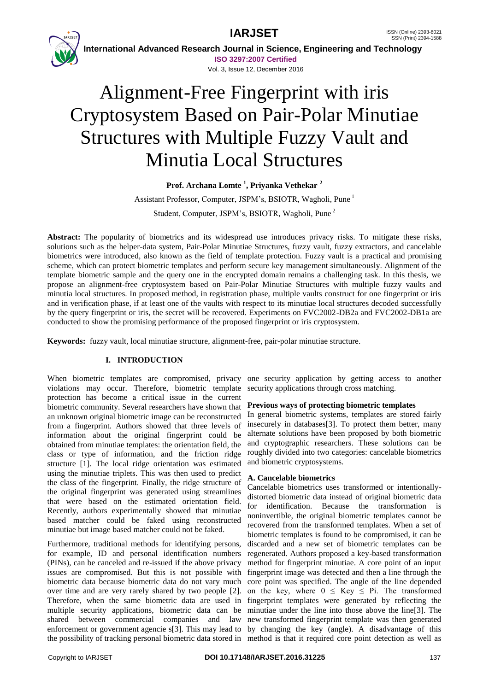**IARJSET** ISSN (Online) 2393-8021



 **International Advanced Research Journal in Science, Engineering and Technology ISO 3297:2007 Certified**

Vol. 3, Issue 12, December 2016

# Alignment-Free Fingerprint with iris Cryptosystem Based on Pair-Polar Minutiae Structures with Multiple Fuzzy Vault and Minutia Local Structures

**Prof. Archana Lomte <sup>1</sup> , Priyanka Vethekar <sup>2</sup>**

Assistant Professor, Computer, JSPM's, BSIOTR, Wagholi, Pune <sup>1</sup> Student, Computer, JSPM's, BSIOTR, Wagholi, Pune <sup>2</sup>

**Abstract:** The popularity of biometrics and its widespread use introduces privacy risks. To mitigate these risks, solutions such as the helper-data system, Pair-Polar Minutiae Structures, fuzzy vault, fuzzy extractors, and cancelable biometrics were introduced, also known as the field of template protection. Fuzzy vault is a practical and promising scheme, which can protect biometric templates and perform secure key management simultaneously. Alignment of the template biometric sample and the query one in the encrypted domain remains a challenging task. In this thesis, we propose an alignment-free cryptosystem based on Pair-Polar Minutiae Structures with multiple fuzzy vaults and minutia local structures. In proposed method, in registration phase, multiple vaults construct for one fingerprint or iris and in verification phase, if at least one of the vaults with respect to its minutiae local structures decoded successfully by the query fingerprint or iris, the secret will be recovered. Experiments on FVC2002-DB2a and FVC2002-DB1a are conducted to show the promising performance of the proposed fingerprint or iris cryptosystem.

**Keywords:** fuzzy vault, local minutiae structure, alignment-free, pair-polar minutiae structure.

# **I. INTRODUCTION**

violations may occur. Therefore, biometric template protection has become a critical issue in the current biometric community. Several researchers have shown that an unknown original biometric image can be reconstructed from a fingerprint. Authors showed that three levels of information about the original fingerprint could be obtained from minutiae templates: the orientation field, the class or type of information, and the friction ridge structure [1]. The local ridge orientation was estimated using the minutiae triplets. This was then used to predict the class of the fingerprint. Finally, the ridge structure of the original fingerprint was generated using streamlines that were based on the estimated orientation field. Recently, authors experimentally showed that minutiae based matcher could be faked using reconstructed minutiae but image based matcher could not be faked.

Furthermore, traditional methods for identifying persons, for example, ID and personal identification numbers (PINs), can be canceled and re-issued if the above privacy issues are compromised. But this is not possible with fingerprint image was detected and then a line through the biometric data because biometric data do not vary much over time and are very rarely shared by two people [2]. Therefore, when the same biometric data are used in multiple security applications, biometric data can be shared between commercial companies and law new transformed fingerprint template was then generated enforcement or government agencie s[3]. This may lead to by changing the key (angle). A disadvantage of this the possibility of tracking personal biometric data stored in method is that it required core point detection as well as

When biometric templates are compromised, privacy one security application by getting access to another security applications through cross matching.

# **Previous ways of protecting biometric templates**

In general biometric systems, templates are stored fairly insecurely in databases[3]. To protect them better, many alternate solutions have been proposed by both biometric and cryptographic researchers. These solutions can be roughly divided into two categories: cancelable biometrics and biometric cryptosystems.

# **A. Cancelable biometrics**

Cancelable biometrics uses transformed or intentionallydistorted biometric data instead of original biometric data for identification. Because the transformation is noninvertible, the original biometric templates cannot be recovered from the transformed templates. When a set of biometric templates is found to be compromised, it can be discarded and a new set of biometric templates can be regenerated. Authors proposed a key-based transformation method for fingerprint minutiae. A core point of an input core point was specified. The angle of the line depended on the key, where  $0 \leq Key \leq Pi$ . The transformed fingerprint templates were generated by reflecting the minutiae under the line into those above the line[3]. The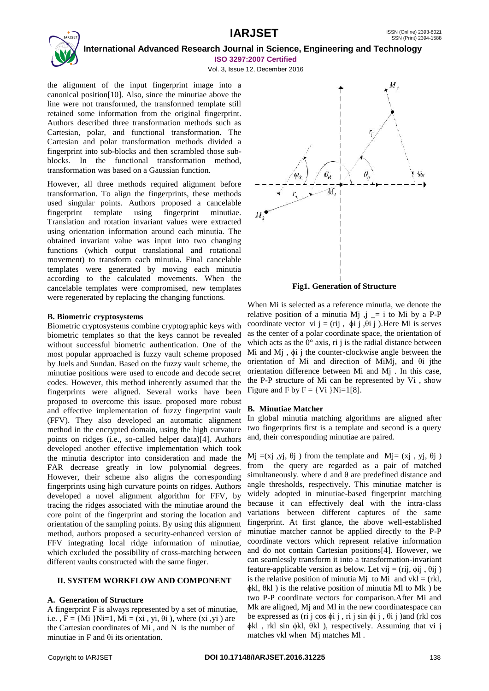

Vol. 3, Issue 12, December 2016

the alignment of the input fingerprint image into a canonical position[10]. Also, since the minutiae above the line were not transformed, the transformed template still retained some information from the original fingerprint. Authors described three transformation methods such as Cartesian, polar, and functional transformation. The Cartesian and polar transformation methods divided a fingerprint into sub-blocks and then scrambled those subblocks. In the functional transformation method, transformation was based on a Gaussian function.

However, all three methods required alignment before transformation. To align the fingerprints, these methods used singular points. Authors proposed a cancelable fingerprint template using fingerprint minutiae. Translation and rotation invariant values were extracted using orientation information around each minutia. The obtained invariant value was input into two changing functions (which output translational and rotational movement) to transform each minutia. Final cancelable templates were generated by moving each minutia according to the calculated movements. When the cancelable templates were compromised, new templates were regenerated by replacing the changing functions.

# **B. Biometric cryptosystems**

Biometric cryptosystems combine cryptographic keys with biometric templates so that the keys cannot be revealed without successful biometric authentication. One of the most popular approached is fuzzy vault scheme proposed by Juels and Sundan. Based on the fuzzy vault scheme, the minutiae positions were used to encode and decode secret codes. However, this method inherently assumed that the fingerprints were aligned. Several works have been proposed to overcome this issue. proposed more robust and effective implementation of fuzzy fingerprint vault (FFV). They also developed an automatic alignment method in the encrypted domain, using the high curvature points on ridges (i.e., so-called helper data)[4]. Authors developed another effective implementation which took the minutia descriptor into consideration and made the FAR decrease greatly in low polynomial degrees. However, their scheme also aligns the corresponding fingerprints using high curvature points on ridges. Authors developed a novel alignment algorithm for FFV, by tracing the ridges associated with the minutiae around the core point of the fingerprint and storing the location and orientation of the sampling points. By using this alignment method, authors proposed a security-enhanced version of FFV integrating local ridge information of minutiae, which excluded the possibility of cross-matching between different vaults constructed with the same finger.

# **II. SYSTEM WORKFLOW AND COMPONENT**

# **A. Generation of Structure**

A fingerprint F is always represented by a set of minutiae, i.e.,  $F = \{Mi \} Ni = 1$ ,  $Mi = (xi, yi, \theta i)$ , where  $(xi, yi)$  are the Cartesian coordinates of Mi , and N is the number of minutiae in F and θi its orientation.



**Fig1. Generation of Structure**

When Mi is selected as a reference minutia, we denote the relative position of a minutia Mj  $,j = i$  to Mi by a P-P coordinate vector vi j = (rij,  $\phi$ i j, $\theta$ i j). Here Mi is serves as the center of a polar coordinate space, the orientation of which acts as the  $0^{\circ}$  axis, ri j is the radial distance between Mi and Mj , ϕi j the counter-clockwise angle between the orientation of Mi and direction of MiMj, and θi jthe orientation difference between Mi and Mj . In this case, the P-P structure of Mi can be represented by Vi , show Figure and F by  $F = \{Vi | Ni = 1[8]\}.$ 

# **B. Minutiae Matcher**

In global minutia matching algorithms are aligned after two fingerprints first is a template and second is a query and, their corresponding minutiae are paired.

Mi  $=(xi$ i, vi,  $\theta$ i) from the template and Mi= (xi, vi,  $\theta$ i) from the query are regarded as a pair of matched simultaneously, where d and  $\theta$  are predefined distance and angle thresholds, respectively. This minutiae matcher is widely adopted in minutiae-based fingerprint matching because it can effectively deal with the intra-class variations between different captures of the same fingerprint. At first glance, the above well-established minutiae matcher cannot be applied directly to the P-P coordinate vectors which represent relative information and do not contain Cartesian positions[4]. However, we can seamlessly transform it into a transformation-invariant feature-applicable version as below. Let vij = (rij,  $\phi$ ij,  $\theta$ ij) is the relative position of minutia Mj to Mi and vkl = (rkl, ϕkl, θkl ) is the relative position of minutia Ml to Mk ) be two P-P coordinate vectors for comparison.After Mi and Mk are aligned, Mj and Ml in the new coordinatespace can be expressed as (ri j cos  $\phi$ i j, ri j sin  $\phi$ i j,  $\theta$ i j) and (rkl cos ϕkl , rkl sin ϕkl, θkl ), respectively. Assuming that vi j matches vkl when Mj matches Ml .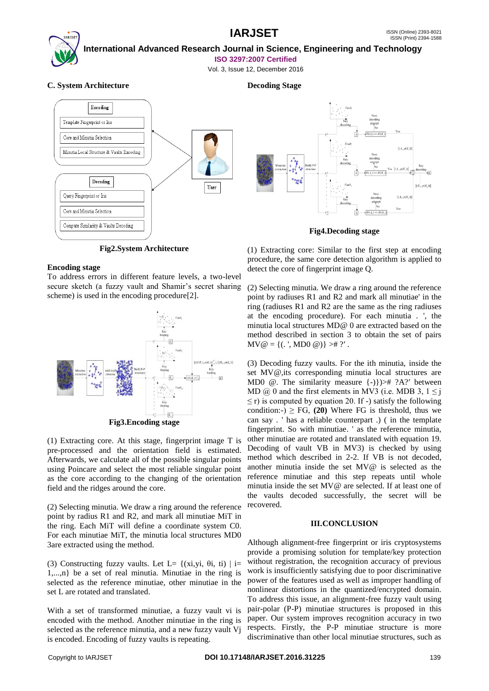

# **International Advanced Research Journal in Science, Engineering and Technology**

**ISO 3297:2007 Certified**

Vol. 3, Issue 12, December 2016

# **C. System Architecture**



**Fig2.System Architecture**

# **Encoding stage**

To address errors in different feature levels, a two-level secure sketch (a fuzzy vault and Shamir's secret sharing scheme) is used in the encoding procedure[2].



(1) Extracting core. At this stage, fingerprint image T is pre-processed and the orientation field is estimated. Afterwards, we calculate all of the possible singular points using Poincare and select the most reliable singular point as the core according to the changing of the orientation field and the ridges around the core.

(2) Selecting minutia. We draw a ring around the reference point by radius R1 and R2, and mark all minutiae MiT in the ring. Each MiT will define a coordinate system C0. For each minutiae MiT, the minutia local structures MD0 3are extracted using the method.

(3) Constructing fuzzy vaults. Let L=  $\{(xi, yi, \theta_i, ti) \mid i=$ 1,...,n} be a set of real minutia. Minutiae in the ring is selected as the reference minutiae, other minutiae in the set L are rotated and translated.

With a set of transformed minutiae, a fuzzy vault vi is encoded with the method. Another minutiae in the ring is selected as the reference minutia, and a new fuzzy vault Vj is encoded. Encoding of fuzzy vaults is repeating.

# **Decoding Stage**



### **Fig4.Decoding stage**

(1) Extracting core: Similar to the first step at encoding procedure, the same core detection algorithm is applied to detect the core of fingerprint image Q.

(2) Selecting minutia. We draw a ring around the reference point by radiuses R1 and R2 and mark all minutiae' in the ring (radiuses R1 and R2 are the same as the ring radiuses at the encoding procedure). For each minutia . ', the minutia local structures MD@ 0 are extracted based on the method described in section 3 to obtain the set of pairs  $MV@ = \{(.', MD0 @)\} > # ?'.$ 

(3) Decoding fuzzy vaults. For the ith minutia, inside the set MV@,its corresponding minutia local structures are MD0  $\omega$ . The similarity measure  $\{-1\}$ )  $\neq$  ?A?′ between MD  $\omega$  0 and the first elements in MV3 (i.e. MDB 3,  $1 \le i$ )  $\leq$  r) is computed by equation 20. If -) satisfy the following condition:-)  $\geq$  FG, (20) Where FG is threshold, thus we can say . ' has a reliable counterpart .) ( in the template fingerprint. So with minutiae. ' as the reference minutia, other minutiae are rotated and translated with equation 19. Decoding of vault VB in MV3) is checked by using method which described in 2-2. If VB is not decoded, another minutia inside the set MV@ is selected as the reference minutiae and this step repeats until whole minutia inside the set MV@ are selected. If at least one of the vaults decoded successfully, the secret will be recovered.

## **III.CONCLUSION**

Although alignment-free fingerprint or iris cryptosystems provide a promising solution for template/key protection without registration, the recognition accuracy of previous work is insufficiently satisfying due to poor discriminative power of the features used as well as improper handling of nonlinear distortions in the quantized/encrypted domain. To address this issue, an alignment-free fuzzy vault using pair-polar (P-P) minutiae structures is proposed in this paper. Our system improves recognition accuracy in two respects. Firstly, the P-P minutiae structure is more discriminative than other local minutiae structures, such as